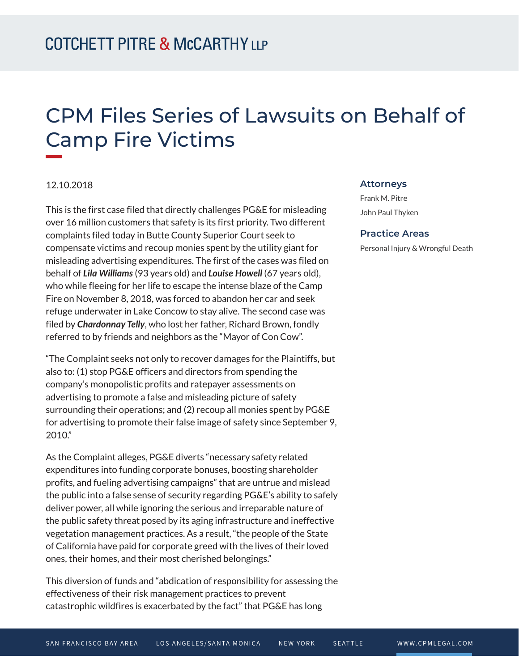# CPM Files Series of Lawsuits on Behalf of Camp Fire Victims

### 12.10.2018

**William** 

This is the first case filed that directly challenges PG&E for misleading over 16 million customers that safety is its first priority. Two different complaints filed today in Butte County Superior Court seek to compensate victims and recoup monies spent by the utility giant for misleading advertising expenditures. The first of the cases was filed on behalf of *Lila Williams* (93 years old) and *Louise Howell* (67 years old), who while fleeing for her life to escape the intense blaze of the Camp Fire on November 8, 2018, was forced to abandon her car and seek refuge underwater in Lake Concow to stay alive. The second case was filed by *Chardonnay Telly*, who lost her father, Richard Brown, fondly referred to by friends and neighbors as the "Mayor of Con Cow".

"The Complaint seeks not only to recover damages for the Plaintiffs, but also to: (1) stop PG&E officers and directors from spending the company's monopolistic profits and ratepayer assessments on advertising to promote a false and misleading picture of safety surrounding their operations; and (2) recoup all monies spent by PG&E for advertising to promote their false image of safety since September 9, 2010."

As the Complaint alleges, PG&E diverts "necessary safety related expenditures into funding corporate bonuses, boosting shareholder profits, and fueling advertising campaigns" that are untrue and mislead the public into a false sense of security regarding PG&E's ability to safely deliver power, all while ignoring the serious and irreparable nature of the public safety threat posed by its aging infrastructure and ineffective vegetation management practices. As a result, "the people of the State of California have paid for corporate greed with the lives of their loved ones, their homes, and their most cherished belongings."

This diversion of funds and "abdication of responsibility for assessing the effectiveness of their risk management practices to prevent catastrophic wildfires is exacerbated by the fact" that PG&E has long

#### **Attorneys**

Frank M. Pitre John Paul Thyken

#### **Practice Areas**

Personal Injury & Wrongful Death